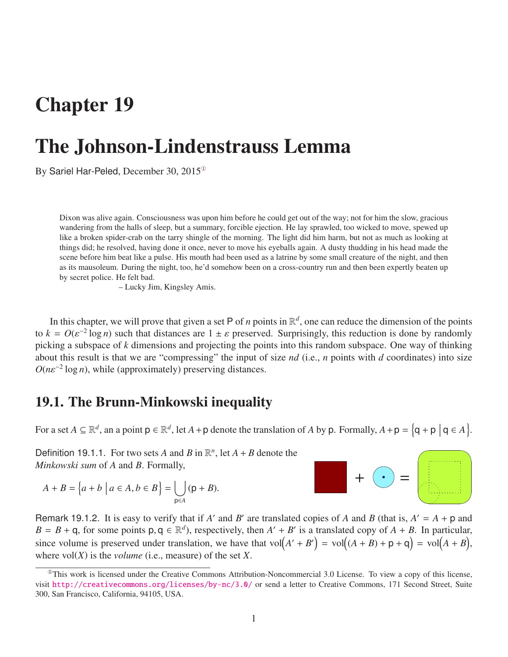## Chapter 19

# The Johnson-Lindenstrauss Lemma

By Sariel Har-Peled, December 30, 2015[①](#page-0-0)

Dixon was alive again. Consciousness was upon him before he could get out of the way; not for him the slow, gracious wandering from the halls of sleep, but a summary, forcible ejection. He lay sprawled, too wicked to move, spewed up like a broken spider-crab on the tarry shingle of the morning. The light did him harm, but not as much as looking at things did; he resolved, having done it once, never to move his eyeballs again. A dusty thudding in his head made the scene before him beat like a pulse. His mouth had been used as a latrine by some small creature of the night, and then as its mausoleum. During the night, too, he'd somehow been on a cross-country run and then been expertly beaten up by secret police. He felt bad.

– Lucky Jim, Kingsley Amis.

In this chapter, we will prove that given a set P of *n* points in  $\mathbb{R}^d$ , one can reduce the dimension of the points to  $k = O(\varepsilon^{-2} \log n)$  such that distances are  $1 \pm \varepsilon$  preserved. Surprisingly, this reduction is done by randomly<br>picking a subspace of k dimensions and projecting the points into this random subspace. One way of thinking picking a subspace of *k* dimensions and projecting the points into this random subspace. One way of thinking about this result is that we are "compressing" the input of size *nd* (i.e., *n* points with *d* coordinates) into size  $O(n\varepsilon^{-2} \log n)$ , while (approximately) preserving distances.

## 19.1. The Brunn-Minkowski inequality

For a set  $A \subseteq \mathbb{R}^d$ , an a point  $p \in \mathbb{R}^d$ , let  $A + p$  denote the translation of  $A$  by  $p$ . Formally,  $A + p = \{q + p \mid q \in A\}$ .

Definition 19.1.1. For two sets *A* and *B* in  $\mathbb{R}^n$ , let  $A + B$  denote the *Minkowski sum* of *A* and *B*. Formally,

$$
A + B = \left\{ a + b \mid a \in A, b \in B \right\} = \bigcup_{\mathsf{p} \in A} (\mathsf{p} + B).
$$



<span id="page-0-1"></span>Remark 19.1.2. It is easy to verify that if *A'* and *B'* are translated copies of *A* and *B* (that is,  $A' = A + p$  and  $B = B + q$ , for some points  $p, q \in \mathbb{R}^d$ , respectively, then  $A' + B'$  is a translated copy of  $A + B$ . In particular, since volume is preserved under translation, we have that  $vol(A' + B') = vol((A + B) + p + q) = vol((A + B)$ , where  $vol(X)$  is the *volume* (i.e., measure) of the set *X*.

<span id="page-0-0"></span> $^{\circ}$ This work is licensed under the Creative Commons Attribution-Noncommercial 3.0 License. To view a copy of this license, visit <http://creativecommons.org/licenses/by-nc/3.0/> or send a letter to Creative Commons, 171 Second Street, Suite 300, San Francisco, California, 94105, USA.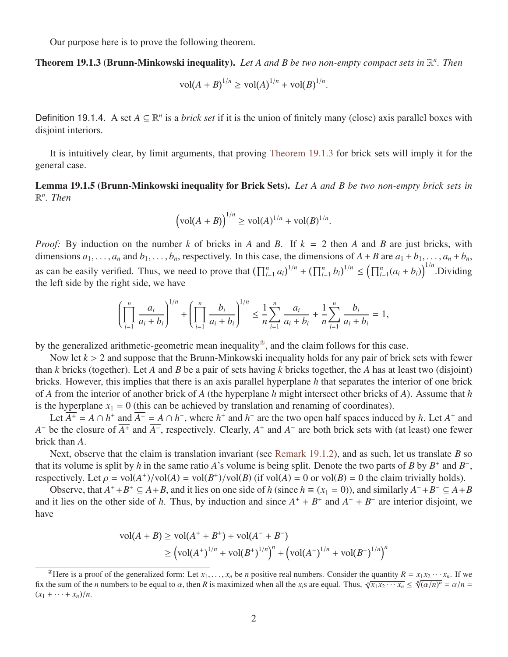Our purpose here is to prove the following theorem.

#### <span id="page-1-0"></span>Theorem 19.1.3 (Brunn-Minkowski inequality). *Let A and B be two non-empty compact sets in* R *n . Then*

$$
vol(A + B)^{1/n} \ge vol(A)^{1/n} + vol(B)^{1/n}.
$$

Definition 19.1.4. A set  $A \subseteq \mathbb{R}^n$  is a *brick set* if it is the union of finitely many (close) axis parallel boxes with disjoint interiors.

It is intuitively clear, by limit arguments, that proving [Theorem 19.1.3](#page-1-0) for brick sets will imply it for the general case.

<span id="page-1-2"></span>Lemma 19.1.5 (Brunn-Minkowski inequality for Brick Sets). *Let A and B be two non-empty brick sets in* R *n . Then*

$$
(\text{vol}(A + B))^{1/n} \ge \text{vol}(A)^{1/n} + \text{vol}(B)^{1/n}.
$$

*Proof:* By induction on the number *k* of bricks in *A* and *B*. If *k* = 2 then *A* and *B* are just bricks, with dimensions  $a_1, \ldots, a_n$  and  $b_1, \ldots, b_n$ , respectively. In this case, the dimensions of  $A + B$  are  $a_1 + b_1, \ldots, a_n + b_n$ , as can be easily verified. Thus, we need to prove that  $(\prod_{i=1}^n a_i)^{1/n} + (\prod_{i=1}^n b_i)^{1/n} \le (\prod_{i=1}^n (a_i + b_i))^{1/n}$ . Dividing the left side by the right side, we have

$$
\left(\prod_{i=1}^n \frac{a_i}{a_i + b_i}\right)^{1/n} + \left(\prod_{i=1}^n \frac{b_i}{a_i + b_i}\right)^{1/n} \le \frac{1}{n} \sum_{i=1}^n \frac{a_i}{a_i + b_i} + \frac{1}{n} \sum_{i=1}^n \frac{b_i}{a_i + b_i} = 1,
$$

by the generalized arithmetic-geometric mean inequality<sup>2</sup>, and the claim follows for this case.

Now let *<sup>k</sup>* > 2 and suppose that the Brunn-Minkowski inequality holds for any pair of brick sets with fewer than *k* bricks (together). Let *A* and *B* be a pair of sets having *k* bricks together, the *A* has at least two (disjoint) bricks. However, this implies that there is an axis parallel hyperplane *h* that separates the interior of one brick of *A* from the interior of another brick of *A* (the hyperplane *h* might intersect other bricks of *A*). Assume that *h* is the hyperplane  $x_1 = 0$  (this can be achieved by translation and renaming of coordinates).

Let  $\overline{A^+} = A \cap h^+$  and  $\overline{A^-} = A \cap h^-$ , where  $h^+$  and  $h^-$  are the two open half spaces induced by *h*. Let  $A^+$  and *A*<sup>−</sup> be the closure of  $\overline{A^+}$  and  $\overline{A^-}$ , respectively. Clearly,  $A^+$  and  $A^-$  are both brick sets with (at least) one fewer brick than *A*.

Next, observe that the claim is translation invariant (see [Remark 19.1.2\)](#page-0-1), and as such, let us translate *B* so that its volume is split by *h* in the same ratio *A*'s volume is being split. Denote the two parts of *B* by  $B^+$  and  $B^-$ , respectively. Let  $\rho = \text{vol}(A^+)/\text{vol}(A) = \text{vol}(B^+)/\text{vol}(B)$  (if  $\text{vol}(A) = 0$  or  $\text{vol}(B) = 0$  the claim trivially holds).<br>Observe that  $A^+ + B^+ \subset A + B$  and it lies on one side of h (since  $h = (x_i - 0)$ ) and similarly  $A^- + B^- \subset A +$ 

Observe, that  $A^+ + B^+ \subseteq A + B$ , and it lies on one side of *h* (since  $h \equiv (x_1 = 0)$ ), and similarly  $A^- + B^- \subseteq A + B$ and it lies on the other side of *h*. Thus, by induction and since  $A^+ + B^+$  and  $A^- + B^-$  are interior disjoint, we have

$$
\text{vol}(A + B) \ge \text{vol}(A^+ + B^+) + \text{vol}(A^- + B^-)
$$
  
 
$$
\ge \left(\text{vol}(A^+)^{1/n} + \text{vol}(B^+)^{1/n}\right)^n + \left(\text{vol}(A^-)^{1/n} + \text{vol}(B^-)^{1/n}\right)^n
$$

<span id="page-1-1"></span><sup>&</sup>lt;sup>2</sup>Here is a proof of the generalized form: Let  $x_1, \ldots, x_n$  be *n* positive real numbers. Consider the quantity  $R = x_1 x_2 \cdots x_n$ . If we have all the sum of the *n* numbers to be equal to  $\alpha$  then *R* is maximized when al fix the sum of the *n* numbers to be equal to  $\alpha$ , then *R* is maximized when all the *x<sub>i</sub>*s are equal. Thus,  $\sqrt[n]{x_1 x_2 \cdots x_n} \le \sqrt[n]{(\alpha/n)^n} = \alpha/n = (x + \alpha + x^2)/n$  $(x_1 + \cdots + x_n)/n$ .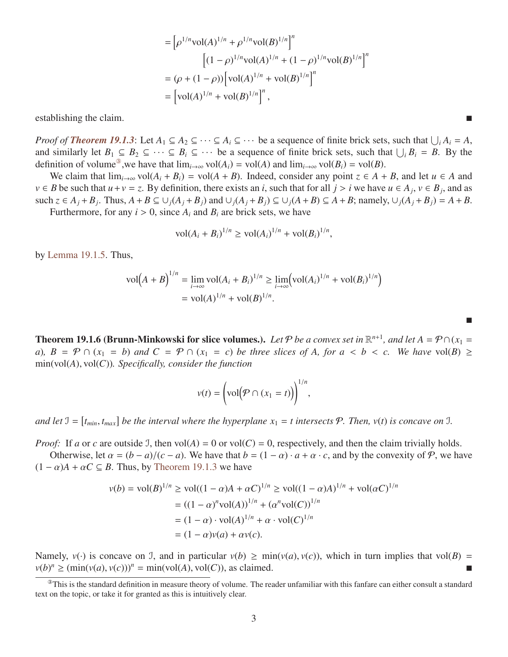$$
= \left[\rho^{1/n} \text{vol}(A)^{1/n} + \rho^{1/n} \text{vol}(B)^{1/n}\right]^n
$$
  
\n
$$
\left[ (1-\rho)^{1/n} \text{vol}(A)^{1/n} + (1-\rho)^{1/n} \text{vol}(B)^{1/n} \right]^n
$$
  
\n
$$
= (\rho + (1-\rho)) \left[\text{vol}(A)^{1/n} + \text{vol}(B)^{1/n}\right]^n
$$
  
\n
$$
= \left[\text{vol}(A)^{1/n} + \text{vol}(B)^{1/n}\right]^n,
$$

establishing the claim.

*Proof of [Theorem 19.1.3](#page-1-0):* Let  $A_1 \subseteq A_2 \subseteq \cdots \subseteq A_i \subseteq \cdots$  be a sequence of finite brick sets, such that  $\bigcup_i A_i = A$ , and similarly let  $B_1 \subseteq B_2 \subseteq \cdots \subseteq B_i \subseteq \cdots$  be a sequence of finite brick sets, such that  $\bigcup_i B_i = B$ . By the definition of volume<sup>®</sup>, we have that  $\lim_{i\to\infty}$  vol $(A_i)$  = vol $(A)$  and  $\lim_{i\to\infty}$  vol $(B_i)$  = vol $(B)$ .

We claim that  $\lim_{i\to\infty}$  vol $(A_i + B_i) = \text{vol}(A + B)$ . Indeed, consider any point  $z \in A + B$ , and let  $u \in A$  and *v* ∈ *B* be such that *u* + *v* = *z*. By definition, there exists an *i*, such that for all *j* > *i* we have *u* ∈ *A*<sub>*j*</sub>, *v* ∈ *B*<sub>*j*</sub>, and as such  $z \in A_1 + B_2$ . Thus  $A + B \subseteq L(A_1 + B_2)$  and  $L(A_2 + B_2) \subseteq L(A_1 + B) \subseteq A_2$ such  $z \in A_j + B_j$ . Thus,  $A + B \subseteq \bigcup_j (A_j + B_j)$  and  $\bigcup_j (A_j + B_j) \subseteq \bigcup_j (A + B) \subseteq A + B$ ; namely,  $\bigcup_j (A_j + B_j) = A + B$ . Furthermore, for any  $i > 0$ , since  $A_i$  and  $B_i$  are brick sets, we have

$$
\text{vol}(A_i + B_i)^{1/n} \ge \text{vol}(A_i)^{1/n} + \text{vol}(B_i)^{1/n},
$$

by [Lemma 19.1.5.](#page-1-2) Thus,

$$
\text{vol}(A + B)^{1/n} = \lim_{i \to \infty} \text{vol}(A_i + B_i)^{1/n} \ge \lim_{i \to \infty} (\text{vol}(A_i)^{1/n} + \text{vol}(B_i)^{1/n})
$$
  
=  $\text{vol}(A)^{1/n} + \text{vol}(B)^{1/n}.$ 

**Theorem 19.1.6 (Brunn-Minkowski for slice volumes.).** Let P be a convex set in  $\mathbb{R}^{n+1}$ , and let  $A = \mathcal{P} \cap (x_1 =$ *a*)*,*  $B = \mathcal{P} \cap (x_1 = b)$  *and*  $C = \mathcal{P} \cap (x_1 = c)$  *be three slices of A, for*  $a < b < c$ *. We have* vol(*B*) ≥ min(vol(*A*), vol(*C*))*. Specifically, consider the function*

$$
v(t) = \left(\text{vol}\left(\mathcal{P} \cap (x_1 = t)\right)\right)^{1/n},
$$

and let  $\mathcal{I} = [t_{min}, t_{max}]$  be the interval where the hyperplane  $x_1 = t$  intersects  $\mathcal{P}$ . Then,  $v(t)$  is concave on  $\mathcal{I}$ .

*Proof:* If *a* or *c* are outside J, then vol(*A*) = 0 or vol(*C*) = 0, respectively, and then the claim trivially holds.

Otherwise, let  $\alpha = (b - a)/(c - a)$ . We have that  $b = (1 - \alpha) \cdot a + \alpha \cdot c$ , and by the convexity of P, we have  $(1 - \alpha)A + \alpha C \subseteq B$ . Thus, by [Theorem 19.1.3](#page-1-0) we have

$$
v(b) = vol(B)^{1/n} \ge vol((1 - \alpha)A + \alpha C)^{1/n} \ge vol((1 - \alpha)A)^{1/n} + vol(\alpha C)^{1/n}
$$
  
=  $((1 - \alpha)^n vol(A))^{1/n} + (\alpha^n vol(C))^{1/n}$   
=  $(1 - \alpha) \cdot vol(A)^{1/n} + \alpha \cdot vol(C)^{1/n}$   
=  $(1 - \alpha)v(a) + \alpha v(c).$ 

Namely,  $v(\cdot)$  is concave on J, and in particular  $v(b) \ge \min(v(a), v(c))$ , which in turn implies that vol(*B*) =  $v(b)^n \ge (\min(v(a), v(c)))^n = \min(vol(A), vol(C)),$  as claimed.

▄

<span id="page-2-1"></span><span id="page-2-0"></span> $^{\circ}$ This is the standard definition in measure theory of volume. The reader unfamiliar with this fanfare can either consult a standard text on the topic, or take it for granted as this is intuitively clear.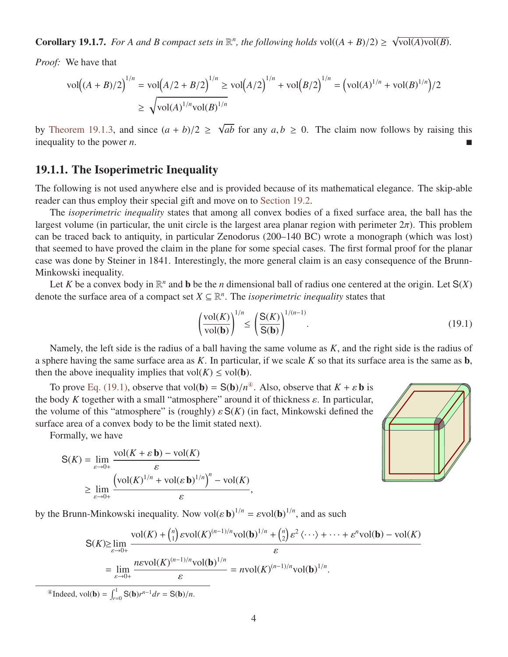**Corollary 19.1.7.** *For A and B compact sets in*  $\mathbb{R}^n$ *, the following holds* vol $((A + B)/2) \ge$ √  $vol(A)vol(B)$ .

*Proof:* We have that

$$
\text{vol}((A + B)/2)^{1/n} = \text{vol}(A/2 + B/2)^{1/n} \ge \text{vol}(A/2)^{1/n} + \text{vol}(B/2)^{1/n} = (\text{vol}(A)^{1/n} + \text{vol}(B)^{1/n})/2
$$
  

$$
\ge \sqrt{\text{vol}(A)^{1/n}\text{vol}(B)^{1/n}}
$$

by [Theorem 19.1.3,](#page-1-0) and since  $(a + b)/2 \ge$ √ *ab* for any  $a, b \ge 0$ . The claim now follows by raising this inequality to the power *n*.

#### 19.1.1. The Isoperimetric Inequality

The following is not used anywhere else and is provided because of its mathematical elegance. The skip-able reader can thus employ their special gift and move on to [Section 19.2.](#page-4-0)

The *isoperimetric inequality* states that among all convex bodies of a fixed surface area, the ball has the largest volume (in particular, the unit circle is the largest area planar region with perimeter  $2\pi$ ). This problem can be traced back to antiquity, in particular Zenodorus (200–140 BC) wrote a monograph (which was lost) that seemed to have proved the claim in the plane for some special cases. The first formal proof for the planar case was done by Steiner in 1841. Interestingly, the more general claim is an easy consequence of the Brunn-Minkowski inequality.

Let *K* be a convex body in  $\mathbb{R}^n$  and **b** be the *n* dimensional ball of radius one centered at the origin. Let  $S(X)$ denote the surface area of a compact set  $X \subseteq \mathbb{R}^n$ . The *isoperimetric inequality* states that

$$
\left(\frac{\text{vol}(K)}{\text{vol}(\mathbf{b})}\right)^{1/n} \le \left(\frac{\mathbf{S}(K)}{\mathbf{S}(\mathbf{b})}\right)^{1/(n-1)}.\tag{19.1}
$$

Namely, the left side is the radius of a ball having the same volume as *K*, and the right side is the radius of a sphere having the same surface area as *K*. In particular, if we scale *K* so that its surface area is the same as b, then the above inequality implies that  $vol(K) \le vol(b)$ .

To prove [Eq. \(19.1\),](#page-3-0) observe that vol(**b**) =  $S(b)/n^4$ . Also, observe that  $K + \varepsilon b$  is body *K* together with a small "atmosphere" around it of thickness s. In particular the body *K* together with a small "atmosphere" around it of thickness  $\varepsilon$ . In particular, the volume of this "atmosphere" is (roughly)  $\varepsilon S(K)$  (in fact, Minkowski defined the surface area of a convex body to be the limit stated next).

Formally, we have

$$
S(K) = \lim_{\varepsilon \to 0+} \frac{\text{vol}(K + \varepsilon \mathbf{b}) - \text{vol}(K)}{\varepsilon}
$$
  
 
$$
\geq \lim_{\varepsilon \to 0+} \frac{\left(\text{vol}(K)^{1/n} + \text{vol}(\varepsilon \mathbf{b})^{1/n}\right)^n - \text{vol}(K)}{\varepsilon},
$$

<span id="page-3-0"></span>

by the Brunn-Minkowski inequality. Now  $vol(\varepsilon \mathbf{b})^{1/n} = \varepsilon vol(\mathbf{b})^{1/n}$ , and as such

$$
S(K) \ge \lim_{\varepsilon \to 0+} \frac{\mathrm{vol}(K) + {n \choose 1} \varepsilon \mathrm{vol}(K)^{(n-1)/n} \mathrm{vol}(\mathbf{b})^{1/n} + {n \choose 2} \varepsilon^2 \langle \cdots \rangle + \cdots + \varepsilon^n \mathrm{vol}(\mathbf{b}) - \mathrm{vol}(K)}{\varepsilon}
$$
  
= 
$$
\lim_{\varepsilon \to 0+} \frac{n \varepsilon \mathrm{vol}(K)^{(n-1)/n} \mathrm{vol}(\mathbf{b})^{1/n}}{\varepsilon} = n \mathrm{vol}(K)^{(n-1)/n} \mathrm{vol}(\mathbf{b})^{1/n}.
$$
  
vol(\mathbf{b}) =  $\int_1^1 S(\mathbf{b}) r^{n-1} dr = S(\mathbf{b})/n$ 

<span id="page-3-1"></span><sup>43</sup>Indeed, vol(**b**) =  $\int_{r=0}^{1} S(\mathbf{b})r$ *<sup>n</sup>*−<sup>1</sup>*dr* <sup>=</sup> <sup>S</sup>(b)/*n*.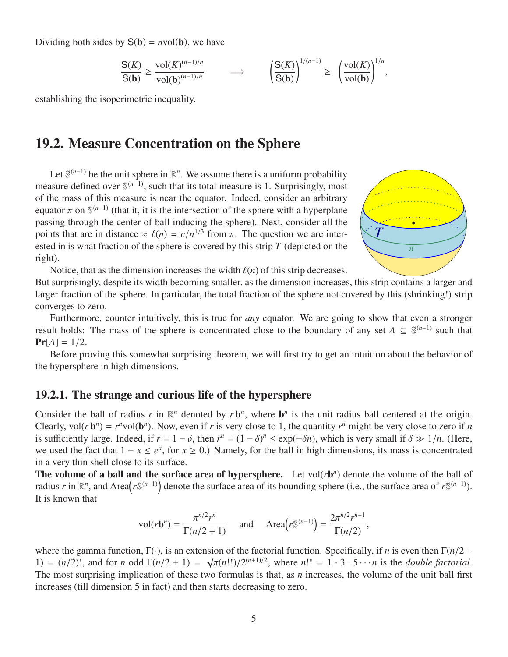Dividing both sides by  $S(b) = nvol(b)$ , we have

$$
\frac{S(K)}{S(b)} \ge \frac{\text{vol}(K)^{(n-1)/n}}{\text{vol}(b)^{(n-1)/n}} \qquad \implies \qquad \left(\frac{S(K)}{S(b)}\right)^{1/(n-1)} \ge \left(\frac{\text{vol}(K)}{\text{vol}(b)}\right)^{1/n}
$$

<span id="page-4-0"></span>establishing the isoperimetric inequality.

## 19.2. Measure Concentration on the Sphere

Let  $\mathbb{S}^{(n-1)}$  be the unit sphere in  $\mathbb{R}^n$ . We assume there is a uniform probability measure defined over  $\mathbb{S}^{(n-1)}$ , such that its total measure is 1. Surprisingly, most of the mass of this measure is near the equator. Indeed, consider an arbitrary equator  $\pi$  on  $\mathbb{S}^{(n-1)}$  (that it, it is the intersection of the sphere with a hyperplane<br>passing through the center of ball inducing the sphere). Next, consider all the passing through the center of ball inducing the sphere). Next, consider all the points that are in distance  $\approx \ell(n) = c/n^{1/3}$  from  $\pi$ . The question we are inter-<br>ested in is what fraction of the sphere is covered by this strip T (depicted on the ested in is what fraction of the sphere is covered by this strip *T* (depicted on the right).



,

Notice, that as the dimension increases the width  $\ell(n)$  of this strip decreases.

But surprisingly, despite its width becoming smaller, as the dimension increases, this strip contains a larger and larger fraction of the sphere. In particular, the total fraction of the sphere not covered by this (shrinking!) strip converges to zero.

Furthermore, counter intuitively, this is true for *any* equator. We are going to show that even a stronger result holds: The mass of the sphere is concentrated close to the boundary of any set  $A \subseteq \mathbb{S}^{(n-1)}$  such that  $Pr[A] = 1/2.$ 

Before proving this somewhat surprising theorem, we will first try to get an intuition about the behavior of the hypersphere in high dimensions.

#### 19.2.1. The strange and curious life of the hypersphere

Consider the ball of radius  $r$  in  $\mathbb{R}^n$  denoted by  $r \mathbf{b}^n$ , where  $\mathbf{b}^n$  is the unit radius ball centered at the origin. Clearly, vol( $r \mathbf{b}^n$ ) =  $r^n$ vol( $\mathbf{b}^n$ ). Now, even if  $r$  is very close to 1, the quantity  $r^n$  might be very close to zero if  $n$ is sufficiently large. Indeed, if  $r = 1 - \delta$ , then  $r^n = (1 - \delta)^n \le \exp(-\delta n)$ , which is very small if  $\delta \gg 1/n$ . (Here, we used the fact that  $1 - r \le e^x$  for  $r > 0$ ). Namely, for the ball in high dimensions, its mass is concentr we used the fact that  $1 - x \le e^x$ , for  $x \ge 0$ .) Namely, for the ball in high dimensions, its mass is concentrated in a very thin shell close to its surface.

The volume of a ball and the surface area of hypersphere. Let  $vol(rb^n)$  denote the volume of the ball of radius *r* in  $\mathbb{R}^n$ , and Area $(r\mathbb{S}^{(n-1)})$  denote the surface area of its bounding sphere (i.e., the surface area of  $r\mathbb{S}^{(n-1)}$ ). It is known that

$$
\text{vol}(r\mathbf{b}^n) = \frac{\pi^{n/2}r^n}{\Gamma(n/2+1)} \quad \text{and} \quad \text{Area}\big(r\mathbb{S}^{(n-1)}\big) = \frac{2\pi^{n/2}r^{n-1}}{\Gamma(n/2)},
$$

where the gamma function, <sup>Γ</sup>(·), is an extension of the factorial function. Specifically, if *<sup>n</sup>* is even then <sup>Γ</sup>(*n*/<sup>2</sup> <sup>+</sup> 1) =  $(n/2)!$ , and for *n* odd  $\Gamma(n/2 + 1)$  = اisi  $\pi(n!!)/2^{(n+1)/2}$ , where  $n!! = 1 \cdot 3 \cdot 5 \cdots n$  is the *double factorial*. The most surprising implication of these two formulas is that, as *n* increases, the volume of the unit ball first increases (till dimension 5 in fact) and then starts decreasing to zero.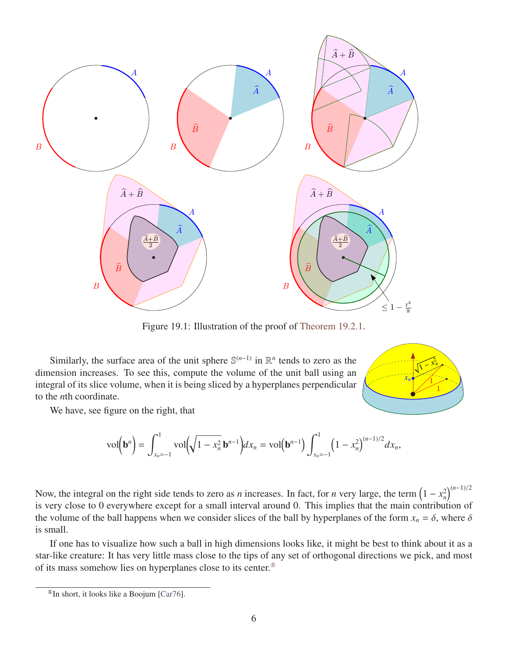<span id="page-5-1"></span>

Figure 19.1: Illustration of the proof of [Theorem 19.2.1.](#page-6-0)

Similarly, the surface area of the unit sphere  $\mathbb{S}^{(n-1)}$  in  $\mathbb{R}^n$  tends to zero as the dimension increases. To see this, compute the volume of the unit ball using an integral of its slice volume, when it is being sliced by a hyperplanes perpendicular to the *n*th coordinate.

We have, see figure on the right, that

$$
\text{vol}\left(\mathbf{b}^n\right) = \int_{x_n=-1}^1 \text{vol}\left(\sqrt{1-x_n^2} \,\mathbf{b}^{n-1}\right) dx_n = \text{vol}\left(\mathbf{b}^{n-1}\right) \int_{x_n=-1}^1 \left(1-x_n^2\right)^{(n-1)/2} dx_n,
$$

1

 $x_n$  1  $\mathcal{N}$  $\overline{\mathcal{L}}$  <sup>−</sup> *<sup>x</sup>* 2

Now, the integral on the right side tends to zero as *n* increases. In fact, for *n* very large, the term  $(1 - x_n^2)^{(n-1)/2}$ is very close to 0 everywhere except for a small interval around 0. This implies that the main contribution of the volume of the ball happens when we consider slices of the ball by hyperplanes of the form  $x_n = \delta$ , where  $\delta$ is small.

If one has to visualize how such a ball in high dimensions looks like, it might be best to think about it as a star-like creature: It has very little mass close to the tips of any set of orthogonal directions we pick, and most of its mass somehow lies on hyperplanes close to its center.[⑤](#page-5-0)

<span id="page-5-0"></span> $\mathcal{F}$  In short, it looks like a Boojum [\[Car76\]](#page-12-0).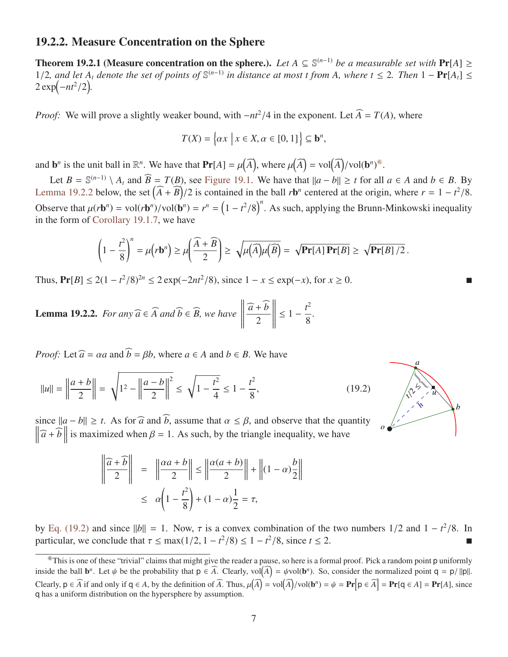#### 19.2.2. Measure Concentration on the Sphere

<span id="page-6-0"></span>**Theorem 19.2.1** (Measure concentration on the sphere.). Let  $A ⊆ \mathbb{S}^{(n-1)}$  be a measurable set with Pr[A] ≥ 1/2, and let  $A_t$  denote the set of points of  $\mathbb{S}^{(n-1)}$  in distance at most t from A, where  $t \le 2$ . Then 1 − **Pr**[ $A_t$ ] ≤  $2 \exp(-nt^2/2)$  $2 \exp(-nt^2/2)$ .

*Proof:* We will prove a slightly weaker bound, with  $-nt^2/4$  in the exponent. Let  $\widehat{A} = T(A)$ , where

$$
T(X) = \left\{ \alpha x \mid x \in X, \alpha \in [0, 1] \right\} \subseteq \mathbf{b}^n,
$$

and **b**<sup>*n*</sup> is the unit ball in  $\mathbb{R}^n$ . We have that  $\text{Pr}[A] = \mu(\widehat{A})$ , where  $\mu(\widehat{A}) = \text{vol}(\widehat{A})/\text{vol}(\mathbf{b}^n)^{\circledcirc}$ .

Let  $B = \mathbb{S}^{(n-1)} \setminus A_t$  and  $\widehat{B} = T(B)$ , see [Figure 19.1.](#page-5-1) We have that  $||a - b|| \ge t$  for all  $a \in A$  and  $b \in B$ . By [Lemma 19.2.2](#page-6-2) below, the set  $(\widehat{A} + \widehat{B})/2$  is contained in the ball *r*b<sup>n</sup> centered at the origin, where  $r = 1 - t^2/8$ . Observe that  $\mu(r\mathbf{b}^n) = \text{vol}(r\mathbf{b}^n)/\text{vol}(\mathbf{b}^n) = r^n = (1 - t^2/8)^n$ . As such, applying the Brunn-Minkowski inequality in the form of Corollary 19.1.7, we have in the form of [Corollary 19.1.7,](#page-2-1) we have

$$
\left(1-\frac{t^2}{8}\right)^n = \mu(r\mathbf{b}^n) \ge \mu\left(\frac{\widehat{A}+\widehat{B}}{2}\right) \ge \sqrt{\mu(A)\mu(B)} = \sqrt{\mathbf{Pr}[A]\,\mathbf{Pr}[B]} \ge \sqrt{\mathbf{Pr}[B]/2}.
$$

Thus,  $Pr[B] \le 2(1 - t^2/8)^{2n} \le 2 \exp(-2nt^2/8)$ , since  $1 - x \le \exp(-x)$ , for  $x \ge 0$ . ■

<span id="page-6-2"></span>**Lemma 19.2.2.** *For any*  $\widehat{a}$  ∈ *A and*  $b$  ∈ *B, we have*   $\mathbb{I}$  $\frac{\widehat{a} + b}{2}$ 2  $\frac{1}{2}$  $\leq 1 - \frac{t^2}{2}$ 8 *.*

*Proof:* Let  $\widehat{a} = \alpha a$  and  $\widehat{b} = \beta b$ , where  $a \in A$  and  $b \in B$ . We have

$$
||u|| = \left\|\frac{a+b}{2}\right\| = \sqrt{1^2 - \left\|\frac{a-b}{2}\right\|^2} \le \sqrt{1 - \frac{t^2}{4}} \le 1 - \frac{t^2}{8},\tag{19.2}
$$

since  $||a - b|| \ge t$ . As for  $\widehat{a}$  and  $\widehat{b}$ , assume that  $\alpha \le \beta$ , and observe that the quantity  $\|\hat{a} + \hat{b}\|$  is maximized when  $\beta = 1$ . As such, by the triangle inequality, we have

$$
\left\| \frac{\widehat{a} + \widehat{b}}{2} \right\| = \left\| \frac{\alpha a + b}{2} \right\| \le \left\| \frac{\alpha (a + b)}{2} \right\| + \left\| (1 - \alpha) \frac{b}{2} \right\|
$$

$$
\le \alpha \left( 1 - \frac{t^2}{8} \right) + (1 - \alpha) \frac{1}{2} = \tau,
$$

by [Eq. \(19.2\)](#page-6-3) and since  $||b|| = 1$ . Now,  $\tau$  is a convex combination of the two numbers 1/2 and  $1 - t^2/8$ . In particular we conclude that  $\tau \le \max(1/2, 1 - t^2/8) \le 1 - t^2/8$  since  $t \le 2$ particular, we conclude that  $\tau \le \max(1/2, 1 - t^2/8) \le 1 - t^2/8$ , since  $t \le 2$ .

<span id="page-6-3"></span>

<span id="page-6-1"></span> $^{\circ}$ This is one of these "trivial" claims that might give the reader a pause, so here is a formal proof. Pick a random point p uniformly inside the ball  $\mathbf{b}^n$ . Let  $\psi$  be the probability that  $\mathbf{p} \in \widehat{A}$ . Clearly,  $\text{vol}(\widehat{A}) = \psi \text{vol}(\mathbf{b}^n)$ . So, consider the normalized point  $\mathbf{q} = \mathbf{p}/||\mathbf{p}||$ . Clearly,  $p \in \widehat{A}$  if and only if  $q \in A$ , by the definition of  $\widehat{A}$ . Thus,  $\mu(\widehat{A}) = \text{vol}(\widehat{A})/\text{vol}(\mathbf{b}^n) = \psi = \mathbf{Pr}[p \in \widehat{A}] = \mathbf{Pr}[q \in A] = \mathbf{Pr}[A]$ , since q has a uniform distribution on the hypersphere by assumption.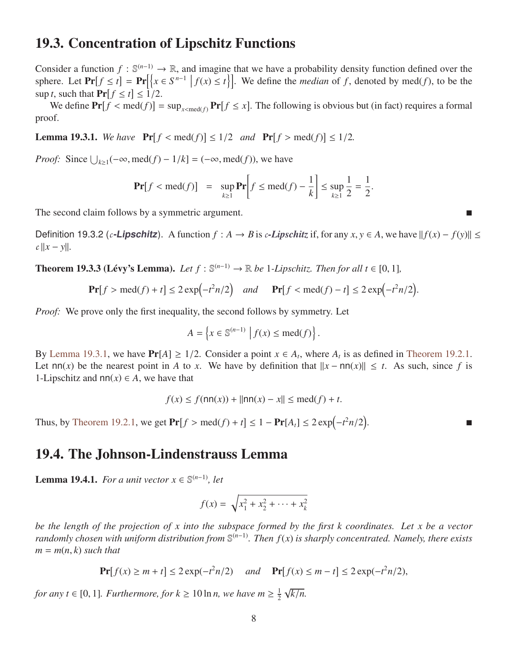## 19.3. Concentration of Lipschitz Functions

Consider a function  $f : \mathbb{S}^{(n-1)} \to \mathbb{R}$ , and imagine that we have a probability density function defined over the sphere. Let  $\Pr[f \le t] = \Pr[\{x \in S^{n-1} \mid f(x) \le t\}]$ . We define the *median* of *f*, denoted by med(*f*), to be the  $\sup t$ , such that  $\Pr[f \le t] \le 1/2$ .<br>We define  $\Pr[f \le \text{med}(f)]$  -

We define  $Pr[f \leq med(f)] = sup_{x \leq med(f)} Pr[f \leq x]$ . The following is obvious but (in fact) requires a formal of proof.

<span id="page-7-0"></span>**Lemma 19.3.1.** We have  $\Pr[f < \text{med}(f)] \le 1/2$  and  $\Pr[f > \text{med}(f)] \le 1/2$ .

*Proof:* Since  $\bigcup_{k \geq 1} (-\infty, \text{med}(f) - 1/k] = (-\infty, \text{med}(f)),$  we have

$$
\Pr[f < \text{med}(f)] = \sup_{k \ge 1} \Pr\bigg[f \le \text{med}(f) - \frac{1}{k}\bigg] \le \sup_{k \ge 1} \frac{1}{2} = \frac{1}{2}.
$$

The second claim follows by a symmetric argument.

Definition 19.3.2 (*c***-Lipschitz**). A function  $f : A \to B$  is *c***-Lipschitz** if, for any  $x, y \in A$ , we have  $|| f(x) - f(y)|| \le$  $c \frac{||x - y||}{|x - y|}$ .

<span id="page-7-1"></span>**Theorem 19.3.3 (Lévy's Lemma).** *Let*  $f : \mathbb{S}^{(n-1)} \to \mathbb{R}$  *be* 1*-Lipschitz. Then for all*  $t \in [0, 1]$ *,* 

$$
\mathbf{Pr}[f > \text{med}(f) + t] \le 2\exp\left(-t^2n/2\right) \quad \text{and} \quad \mathbf{Pr}[f < \text{med}(f) - t] \le 2\exp\left(-t^2n/2\right).
$$

*Proof:* We prove only the first inequality, the second follows by symmetry. Let

$$
A = \left\{ x \in \mathbb{S}^{(n-1)} \mid f(x) \le \text{med}(f) \right\}.
$$

By [Lemma 19.3.1,](#page-7-0) we have  $Pr[A] \ge 1/2$ . Consider a point  $x \in A_t$ , where  $A_t$  is as defined in [Theorem 19.2.1.](#page-6-0)<br>Let np(x) be the nearest point in A to x. We have by definition that  $||x - np(x)|| \le t$ . As such since f is Let  $nn(x)$  be the nearest point in *A* to *x*. We have by definition that  $||x - nn(x)|| \le t$ . As such, since *f* is 1-Lipschitz and  $nn(x) \in A$ , we have that

$$
f(x) \le f(\text{nn}(x)) + ||\text{nn}(x) - x|| \le \text{med}(f) + t.
$$

Thus, by [Theorem 19.2.1,](#page-6-0) we get  $Pr[f > \text{med}(f) + t] ≤ 1 - Pr[A_t] ≤ 2 exp(-t^2 n/2)$ .

### 19.4. The Johnson-Lindenstrauss Lemma

<span id="page-7-2"></span>**Lemma 19.4.1.** *For a unit vector*  $x \in \mathbb{S}^{(n-1)}$ *, let* 

$$
f(x) = \sqrt{x_1^2 + x_2^2 + \dots + x_k^2}
$$

*be the length of the projection of x into the subspace formed by the first k coordinates. Let x be a vector randomly chosen with uniform distribution from* S (*n*−1)*. Then f*(*x*) *is sharply concentrated. Namely, there exists*  $m = m(n, k)$  *such that* 

$$
\Pr[f(x) \ge m + t] \le 2\exp(-t^2n/2) \quad \text{and} \quad \Pr[f(x) \le m - t] \le 2\exp(-t^2n/2),
$$

*for any t*  $\in$  [0, 1]*. Furthermore, for k*  $\geq$  10 ln *n*, we have  $m \geq \frac{1}{2}$ 2 √ *k*/*n.*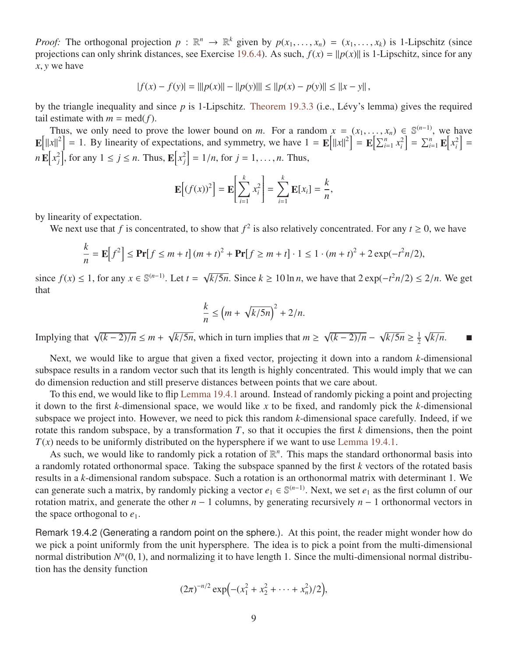*Proof:* The orthogonal projection  $p : \mathbb{R}^n \to \mathbb{R}^k$  given by  $p(x_1, ..., x_n) = (x_1, ..., x_k)$  is 1-Lipschitz (since projections can only shrink distances see Exercise 19.6.4). As such  $f(x) = ||p(x)||$  is 1-Lipschitz since for any projections can only shrink distances, see Exercise [19.6.4\)](#page-11-0). As such,  $f(x) = ||p(x)||$  is 1-Lipschitz, since for any *<sup>x</sup>*, *<sup>y</sup>* we have

$$
|f(x) - f(y)| = |||p(x)|| - ||p(y)||| \le ||p(x) - p(y)|| \le ||x - y||,
$$

by the triangle inequality and since *p* is 1-Lipschitz. [Theorem 19.3.3](#page-7-1) (i.e., Lévy's lemma) gives the required tail estimate with  $m = \text{med}(f)$ .

Thus, we only need to prove the lower bound on *m*. For a random  $x = (x_1, ..., x_n) \in \mathbb{S}^{(n-1)}$ , we have  $x|z^2 - 1$ . By linearity of expectations, and symmetry we have  $1 - \mathbf{F}[\|x\|^2] - \mathbf{F}[\nabla^n x^2] - \nabla^n \mathbf{F}[x^2]$ .  $\mathbf{E}[||x||^2] = 1$ . By linearity of expectations, and symmetry, we have  $1 = \mathbf{E}[||x||^2] = \mathbf{E}[\sum_{i=1}^n x_i^2] = \sum_{i=1}^n \mathbf{E}[x_i^2] =$  $n \mathbf{E}[x_j^2]$ , for any  $1 \le j \le n$ . Thus,  $\mathbf{E}[x_j^2] = 1/n$ , for  $j = 1, ..., n$ . Thus,

$$
\mathbf{E}\Big[(f(x))^{2}\Big]=\mathbf{E}\Big[\sum_{i=1}^{k}x_{i}^{2}\Big]=\sum_{i=1}^{k}\mathbf{E}[x_{i}]=\frac{k}{n},
$$

by linearity of expectation.

We next use that *f* is concentrated, to show that  $f^2$  is also relatively concentrated. For any  $t \ge 0$ , we have

$$
\frac{k}{n} = \mathbf{E}\Big[f^2\Big] \le \mathbf{Pr}\big[f \le m + t\big] (m + t)^2 + \mathbf{Pr}\big[f \ge m + t\big] \cdot 1 \le 1 \cdot (m + t)^2 + 2\exp(-t^2 n/2),
$$

since  $f(x) \leq 1$ , for any  $x \in \mathbb{S}^{(n-1)}$ . Let  $t =$ √ *k*/5*n*. Since *k* ≥ 10 ln *n*, we have that  $2 \exp(-t^2 n/2) \le 2/n$ . We get that

$$
\frac{k}{n} \le \left(m + \sqrt{k/5n}\right)^2 + 2/n.
$$

Implying that  $\sqrt{}$ (*<sup>k</sup>* <sup>−</sup> 2)/*<sup>n</sup>* <sup>≤</sup> *<sup>m</sup>* <sup>+</sup> √  $\sqrt{k/5n}$ , which in turn implies that *m* ≥ √ (*<sup>k</sup>* <sup>−</sup> 2)/*<sup>n</sup>* <sup>−</sup> √  $\sqrt{k/5n} \geq \frac{1}{2}$ 2  $\sqrt{k/n}$ . ■

Next, we would like to argue that given a fixed vector, projecting it down into a random *k*-dimensional subspace results in a random vector such that its length is highly concentrated. This would imply that we can do dimension reduction and still preserve distances between points that we care about.

To this end, we would like to flip [Lemma 19.4.1](#page-7-2) around. Instead of randomly picking a point and projecting it down to the first *k*-dimensional space, we would like *x* to be fixed, and randomly pick the *k*-dimensional subspace we project into. However, we need to pick this random *k*-dimensional space carefully. Indeed, if we rotate this random subspace, by a transformation *T*, so that it occupies the first *k* dimensions, then the point  $T(x)$  needs to be uniformly distributed on the hypersphere if we want to use [Lemma 19.4.1.](#page-7-2)

As such, we would like to randomly pick a rotation of  $\mathbb{R}^n$ . This maps the standard orthonormal basis into a randomly rotated orthonormal space. Taking the subspace spanned by the first *k* vectors of the rotated basis results in a *k*-dimensional random subspace. Such a rotation is an orthonormal matrix with determinant 1. We can generate such a matrix, by randomly picking a vector  $e_1 \in \mathbb{S}^{(n-1)}$ . Next, we set  $e_1$  as the first column of our rotation matrix, and generate the other *n* − 1 columns, by generating recursively *n* − 1 orthonormal vectors in the space orthogonal to  $e_1$ .

Remark 19.4.2 (Generating a random point on the sphere.). At this point, the reader might wonder how do we pick a point uniformly from the unit hypersphere. The idea is to pick a point from the multi-dimensional normal distribution  $N^n(0, 1)$ , and normalizing it to have length 1. Since the multi-dimensional normal distribu-<br>tion has the density function tion has the density function

$$
(2\pi)^{-n/2} \exp\Bigl(-(x_1^2 + x_2^2 + \cdots + x_n^2)/2\Bigr),
$$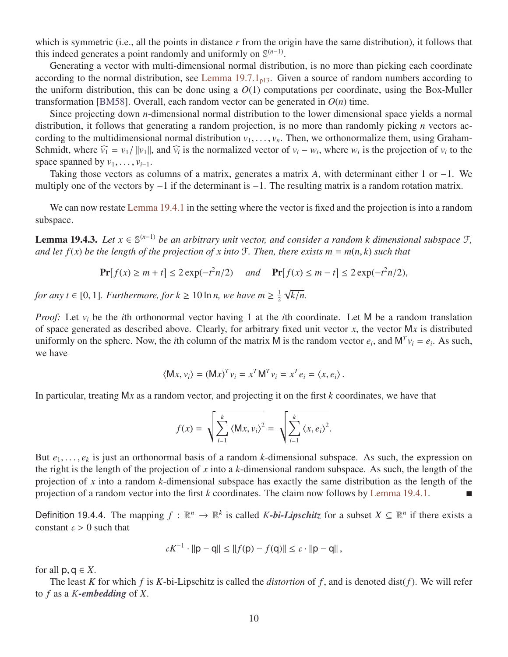which is symmetric (i.e., all the points in distance r from the origin have the same distribution), it follows that this indeed generates a point randomly and uniformly on  $\mathbb{S}^{(n-1)}$ .

Generating a vector with multi-dimensional normal distribution, is no more than picking each coordinate according to the normal distribution, see Lemma  $19.7.1<sub>n13</sub>$ . Given a source of random numbers according to the uniform distribution, this can be done using a  $O(1)$  computations per coordinate, using the Box-Muller transformation [\[BM58\]](#page-12-2). Overall, each random vector can be generated in  $O(n)$  time.

Since projecting down *n*-dimensional normal distribution to the lower dimensional space yields a normal distribution, it follows that generating a random projection, is no more than randomly picking *n* vectors according to the multidimensional normal distribution  $v_1, \ldots, v_n$ . Then, we orthonormalize them, using Graham-Schmidt, where  $\widehat{v_1} = v_1 / ||v_1||$ , and  $\widehat{v_i}$  is the normalized vector of  $v_i - w_i$ , where  $w_i$  is the projection of  $v_i$  to the space spanned by  $v_i$ . space spanned by  $v_1, \ldots, v_{i-1}$ .

Taking those vectors as columns of a matrix, generates a matrix *A*, with determinant either 1 or −1. We multiply one of the vectors by −1 if the determinant is −1. The resulting matrix is a random rotation matrix.

We can now restate [Lemma 19.4.1](#page-7-2) in the setting where the vector is fixed and the projection is into a random subspace.

<span id="page-9-1"></span>**Lemma 19.4.3.** *Let*  $x \in \mathbb{S}^{(n-1)}$  *be an arbitrary unit vector, and consider a random k dimensional subspace*  $\mathcal{F}$ *, and let*  $f(x)$  *be the length of the projection of x into*  $\mathcal{F}$ *. Then, there exists*  $m = m(n, k)$  *such that* 

$$
\Pr[f(x) \ge m + t] \le 2\exp(-t^2n/2) \quad \text{and} \quad \Pr[f(x) \le m - t] \le 2\exp(-t^2n/2),
$$

*for any t*  $\in$  [0, 1]*. Furthermore, for k*  $\geq$  10 ln *n*, we have  $m \geq \frac{1}{2}$ 2 √ *k*/*n.*

*Proof:* Let  $v_i$  be the *i*th orthonormal vector having 1 at the *i*th coordinate. Let M be a random translation of space generated as described above. Clearly, for arbitrary fixed unit vector *x*, the vector M*x* is distributed uniformly on the sphere. Now, the *i*th column of the matrix M is the random vector  $e_i$ , and  $M^T v_i = e_i$ . As such, we have

$$
\langle \mathsf{M} x, v_i \rangle = (\mathsf{M} x)^T v_i = x^T \mathsf{M}^T v_i = x^T e_i = \langle x, e_i \rangle.
$$

In particular, treating M*x* as a random vector, and projecting it on the first *k* coordinates, we have that

$$
f(x) = \sqrt{\sum_{i=1}^{k} \langle \mathsf{M}x, v_i \rangle^2} = \sqrt{\sum_{i=1}^{k} \langle x, e_i \rangle^2}.
$$

But  $e_1, \ldots, e_k$  is just an orthonormal basis of a random *k*-dimensional subspace. As such, the expression on the right is the length of the projection of x into a *k*-dimensional random subspace. As such, the length of the right is the length of the projection of *x* into a *k*-dimensional random subspace. As such, the length of the projection of *x* into a random *k*-dimensional subspace has exactly the same distribution as the length of the projection of a random vector into the first *k* coordinates. The claim now follows by [Lemma 19.4.1.](#page-7-2)

Definition 19.4.4. The mapping  $f : \mathbb{R}^n \to \mathbb{R}^k$  is called *K*-bi-Lipschitz for a subset  $X \subseteq \mathbb{R}^n$  if there exists a constant  $c > 0$  such that

$$
cK^{-1} \cdot ||p - q|| \le ||f(p) - f(q)|| \le c \cdot ||p - q||,
$$

for all  $p, q \in X$ .

<span id="page-9-0"></span>The least *K* for which *f* is *K*-bi-Lipschitz is called the *distortion* of *f* , and is denoted dist(*f*). We will refer to *f* as a *K-embedding* of *X*.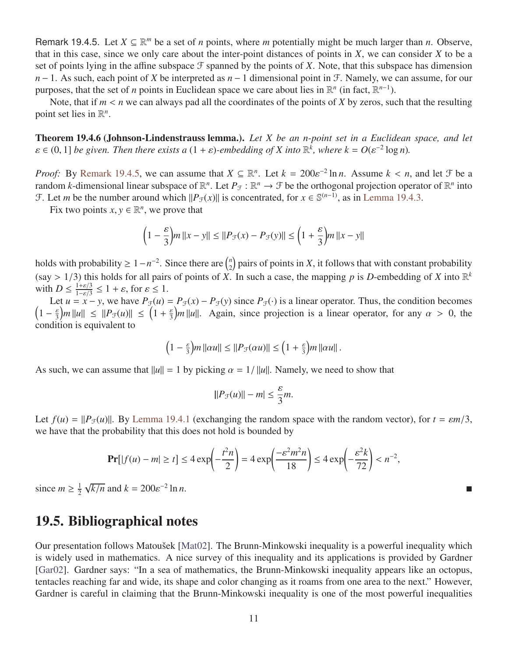Remark 19.4.5. Let  $X \subseteq \mathbb{R}^m$  be a set of *n* points, where *m* potentially might be much larger than *n*. Observe, that in this case, since we only care about the inter-point distances of points in *X*, we can consider *X* to be a set of points lying in the affine subspace  $\mathcal F$  spanned by the points of X. Note, that this subspace has dimension *n* − 1. As such, each point of *X* be interpreted as *n* − 1 dimensional point in *F*. Namely, we can assume, for our purposes, that the set of *n* points in Euclidean space we care about lies in  $\mathbb{R}^n$  (in fact,  $\mathbb{R}^{n-1}$ ).

Note, that if  $m < n$  we can always pad all the coordinates of the points of X by zeros, such that the resulting point set lies in  $\mathbb{R}^n$ .

Theorem 19.4.6 (Johnson-Lindenstrauss lemma.). *Let X be an n-point set in a Euclidean space, and let*  $\varepsilon \in (0, 1]$  *be given. Then there exists a*  $(1 + \varepsilon)$ -embedding of *X* into  $\mathbb{R}^{\overline{k}}$ , where  $k = O(\varepsilon^{-2} \log n)$ .

*Proof:* By [Remark 19.4.5,](#page-9-0) we can assume that  $X \subseteq \mathbb{R}^n$ . Let  $k = 200\varepsilon^{-2} \ln n$ . Assume  $k < n$ , and let  $\mathcal{F}$  be a random *k*-dimensional linear subspace of  $\mathbb{R}^n$ . Let  $P_{\alpha} : \mathbb{R}^n \to \mathcal{F}$  be the orthogonal random *k*-dimensional linear subspace of  $\mathbb{R}^n$ . Let  $P_{\mathcal{F}} : \mathbb{R}^n \to \mathcal{F}$  be the orthogonal projection operator of  $\mathbb{R}^n$  into F. Let *m* be the number around which  $||P_{\mathcal{F}}(x)||$  is concentrated, for  $x \in \mathbb{S}^{(n-1)}$ , as in [Lemma 19.4.3.](#page-9-1)

Fix two points  $x, y \in \mathbb{R}^n$ , we prove that

$$
\left(1 - \frac{\varepsilon}{3}\right) m \left\|x - y\right\| \le \left\|P_{\mathcal{F}}(x) - P_{\mathcal{F}}(y)\right\| \le \left(1 + \frac{\varepsilon}{3}\right) m \left\|x - y\right\|
$$

holds with probability  $\geq 1 - n^{-2}$ . Since there are  $\binom{n}{2}$  $\binom{n}{2}$  pairs of points in *X*, it follows that with constant probability (say > 1/3) this holds for all pairs of points of *X*. In such a case, the mapping *p* is *D*-embedding of *X* into  $\mathbb{R}^k$  with  $D \le \frac{1+\epsilon/3}{2} \le 1 + \epsilon$  for  $s \le 1$ with  $D \leq \frac{1+\varepsilon/3}{1-\varepsilon/3} \leq 1+\varepsilon$ , for  $\varepsilon \leq 1$ .<br>Let  $u = x - y$ , we have  $P_{\varepsilon}(u)$ .

Let  $u = x - y$ , we have  $P_{\mathcal{F}}(u) = P_{\mathcal{F}}(x) - P_{\mathcal{F}}(y)$  since  $P_{\mathcal{F}}(\cdot)$  is a linear operator. Thus, the condition becomes  $\left(1 - \frac{\varepsilon}{3} \right) m ||u|| \le ||P_{\mathcal{F}}(u)|| \le \left(1 + \frac{\varepsilon}{3} \right) m ||u||$ . Again, since projection is a linear operator, for any  $\alpha > 0$ , the condition is equivalent to condition is equivalent to

$$
\left(1-\frac{\varepsilon}{3}\right)m\left\Vert \alpha u\right\Vert \leq \left\Vert P_{\mathcal{F}}(\alpha u)\right\Vert \leq \left(1+\frac{\varepsilon}{3}\right)m\left\Vert \alpha u\right\Vert.
$$

As such, we can assume that  $||u|| = 1$  by picking  $\alpha = 1/||u||$ . Namely, we need to show that

$$
||P_{\mathcal{F}}(u)|| - m| \leq \frac{\varepsilon}{3}m.
$$

Let  $f(u) = ||P_F(u)||$ . By [Lemma 19.4.1](#page-7-2) (exchanging the random space with the random vector), for  $t = \varepsilon m/3$ , we have that the probability that this does not hold is bounded by

$$
\Pr[|f(u) - m| \ge t] \le 4 \exp\left(-\frac{t^2 n}{2}\right) = 4 \exp\left(\frac{-\varepsilon^2 m^2 n}{18}\right) \le 4 \exp\left(-\frac{\varepsilon^2 k}{72}\right) < n^{-2},
$$

since  $m \geq \frac{1}{2}$ 2 √  $\sqrt{k/n}$  and  $k = 200e^{-2}$  $\ln n$ .

## 19.5. Bibliographical notes

Our presentation follows Matoušek [\[Mat02\]](#page-12-3). The Brunn-Minkowski inequality is a powerful inequality which is widely used in mathematics. A nice survey of this inequality and its applications is provided by Gardner [\[Gar02\]](#page-12-4). Gardner says: "In a sea of mathematics, the Brunn-Minkowski inequality appears like an octopus, tentacles reaching far and wide, its shape and color changing as it roams from one area to the next." However, Gardner is careful in claiming that the Brunn-Minkowski inequality is one of the most powerful inequalities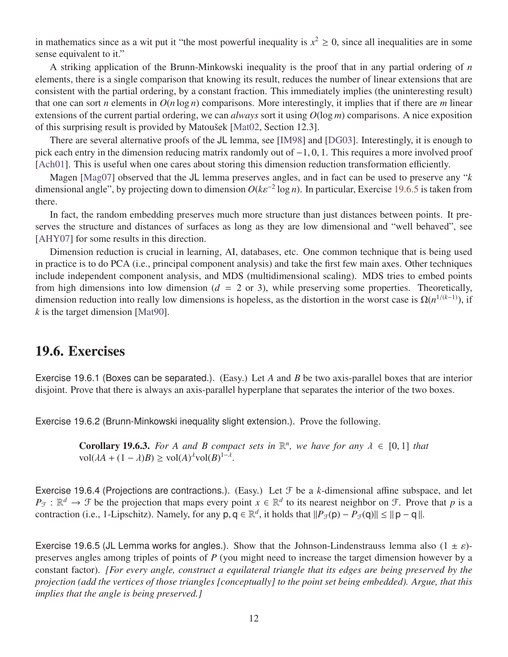in mathematics since as a wit put it "the most powerful inequality is  $x^2 \ge 0$ , since all inequalities are in some sense equivalent to it."

A striking application of the Brunn-Minkowski inequality is the proof that in any partial ordering of *n* elements, there is a single comparison that knowing its result, reduces the number of linear extensions that are consistent with the partial ordering, by a constant fraction. This immediately implies (the uninteresting result) that one can sort *n* elements in  $O(n \log n)$  comparisons. More interestingly, it implies that if there are *m* linear extensions of the current partial ordering, we can *always* sort it using *O*(log *m*) comparisons. A nice exposition of this surprising result is provided by Matoušek [\[Mat02,](#page-12-3) Section 12.3].

There are several alternative proofs of the JL lemma, see [\[IM98\]](#page-12-5) and [\[DG03\]](#page-12-6). Interestingly, it is enough to pick each entry in the dimension reducing matrix randomly out of <sup>−</sup>1, <sup>0</sup>, 1. This requires a more involved proof [\[Ach01\]](#page-12-7). This is useful when one cares about storing this dimension reduction transformation efficiently.

Magen [\[Mag07\]](#page-12-8) observed that the JL lemma preserves angles, and in fact can be used to preserve any "*k* dimensional angle", by projecting down to dimension  $O(k\varepsilon^{-2} \log n)$ . In particular, Exercise [19.6.5](#page-11-1) is taken from there.

In fact, the random embedding preserves much more structure than just distances between points. It preserves the structure and distances of surfaces as long as they are low dimensional and "well behaved", see [\[AHY07\]](#page-12-9) for some results in this direction.

Dimension reduction is crucial in learning, AI, databases, etc. One common technique that is being used in practice is to do PCA (i.e., principal component analysis) and take the first few main axes. Other techniques include independent component analysis, and MDS (multidimensional scaling). MDS tries to embed points from high dimensions into low dimension  $(d = 2 \text{ or } 3)$ , while preserving some properties. Theoretically, dimension reduction into really low dimensions is hopeless, as the distortion in the worst case is  $\Omega(n^{1/(k-1)})$ , if *k* is the target dimension [\[Mat90\]](#page-12-10).

### 19.6. Exercises

Exercise 19.6.1 (Boxes can be separated.). (Easy.) Let *A* and *B* be two axis-parallel boxes that are interior disjoint. Prove that there is always an axis-parallel hyperplane that separates the interior of the two boxes.

Exercise 19.6.2 (Brunn-Minkowski inequality slight extension.). Prove the following.

**Corollary 19.6.3.** *For A and B compact sets in*  $\mathbb{R}^n$ *, we have for any*  $\lambda \in [0,1]$  *that*  $vol(\lambda A + (1-\lambda)R) > vol(\lambda)^{\lambda}vol(R)^{1-\lambda}$  $vol(\lambda A + (1 - \lambda)B) \ge vol(A)^{\lambda}vol(B)^{1-\lambda}$ 

<span id="page-11-0"></span>Exercise 19.6.4 (Projections are contractions.). (Easy.) Let  $\mathcal F$  be a *k*-dimensional affine subspace, and let  $P_{\mathcal{F}}: \mathbb{R}^d \to \mathcal{F}$  be the projection that maps every point  $x \in \mathbb{R}^d$  to its nearest neighbor on  $\mathcal{F}$ . Prove that *p* is a contraction (i.e., 1-Lipschitz). Namely, for any  $p, q \in \mathbb{R}^d$ , it holds that  $||P_{\mathcal{F}}(p) - P_{\mathcal{F}}(q)|| \le ||p - q||$ .

<span id="page-11-1"></span>Exercise 19.6.5 (JL Lemma works for angles.). Show that the Johnson-Lindenstrauss lemma also  $(1 \pm \varepsilon)$ preserves angles among triples of points of *P* (you might need to increase the target dimension however by a constant factor). *[For every angle, construct a equilateral triangle that its edges are being preserved by the projection (add the vertices of those triangles [conceptually] to the point set being embedded). Argue, that this implies that the angle is being preserved.]*